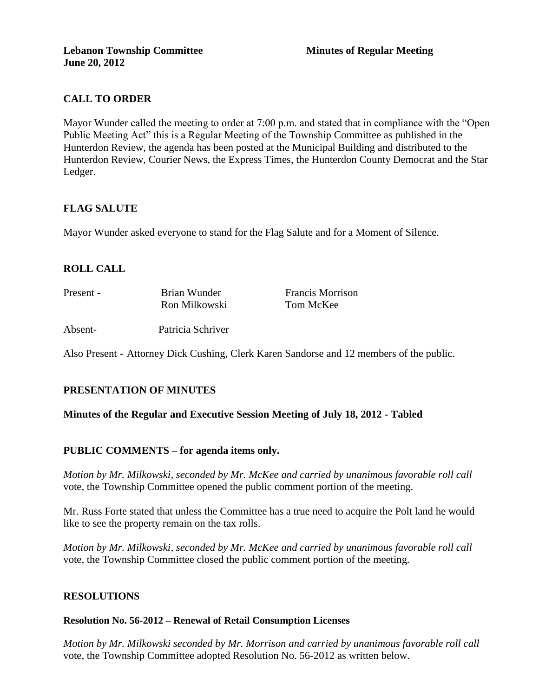# **CALL TO ORDER**

Mayor Wunder called the meeting to order at 7:00 p.m. and stated that in compliance with the "Open Public Meeting Act" this is a Regular Meeting of the Township Committee as published in the Hunterdon Review, the agenda has been posted at the Municipal Building and distributed to the Hunterdon Review, Courier News, the Express Times, the Hunterdon County Democrat and the Star Ledger.

## **FLAG SALUTE**

Mayor Wunder asked everyone to stand for the Flag Salute and for a Moment of Silence.

# **ROLL CALL**

| Present - | Brian Wunder      | <b>Francis Morrison</b> |
|-----------|-------------------|-------------------------|
|           | Ron Milkowski     | Tom McKee               |
| Absent-   | Patricia Schriver |                         |

Also Present - Attorney Dick Cushing, Clerk Karen Sandorse and 12 members of the public.

# **PRESENTATION OF MINUTES**

### **Minutes of the Regular and Executive Session Meeting of July 18, 2012 - Tabled**

### **PUBLIC COMMENTS – for agenda items only.**

*Motion by Mr. Milkowski, seconded by Mr. McKee and carried by unanimous favorable roll call*  vote*,* the Township Committee opened the public comment portion of the meeting.

Mr. Russ Forte stated that unless the Committee has a true need to acquire the Polt land he would like to see the property remain on the tax rolls.

*Motion by Mr. Milkowski, seconded by Mr. McKee and carried by unanimous favorable roll call*  vote, the Township Committee closed the public comment portion of the meeting.

### **RESOLUTIONS**

#### **Resolution No. 56-2012 – Renewal of Retail Consumption Licenses**

*Motion by Mr. Milkowski seconded by Mr. Morrison and carried by unanimous favorable roll call*  vote, the Township Committee adopted Resolution No. 56-2012 as written below.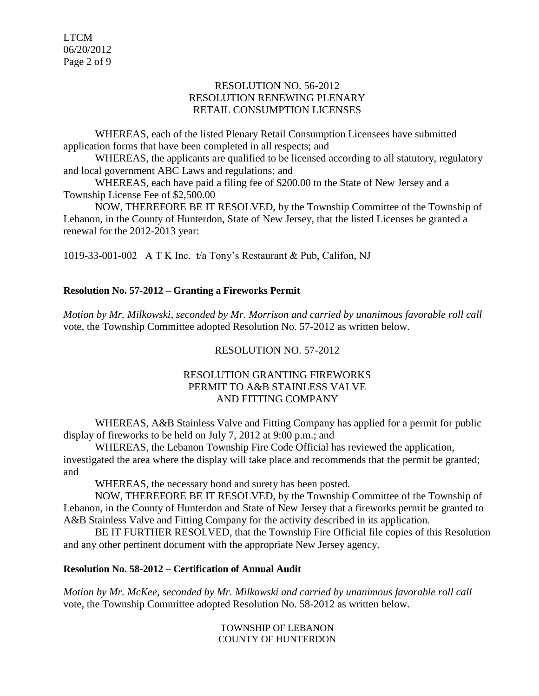LTCM 06/20/2012 Page 2 of 9

### RESOLUTION NO. 56-2012 RESOLUTION RENEWING PLENARY RETAIL CONSUMPTION LICENSES

WHEREAS, each of the listed Plenary Retail Consumption Licensees have submitted application forms that have been completed in all respects; and

WHEREAS, the applicants are qualified to be licensed according to all statutory, regulatory and local government ABC Laws and regulations; and

WHEREAS, each have paid a filing fee of \$200.00 to the State of New Jersey and a Township License Fee of \$2,500.00

NOW, THEREFORE BE IT RESOLVED, by the Township Committee of the Township of Lebanon, in the County of Hunterdon, State of New Jersey, that the listed Licenses be granted a renewal for the 2012-2013 year:

1019-33-001-002 A T K Inc. t/a Tony's Restaurant & Pub, Califon, NJ

## **Resolution No. 57-2012 – Granting a Fireworks Permit**

*Motion by Mr. Milkowski, seconded by Mr. Morrison and carried by unanimous favorable roll call*  vote, the Township Committee adopted Resolution No. 57-2012 as written below.

# RESOLUTION NO. 57-2012

## RESOLUTION GRANTING FIREWORKS PERMIT TO A&B STAINLESS VALVE AND FITTING COMPANY

WHEREAS, A&B Stainless Valve and Fitting Company has applied for a permit for public display of fireworks to be held on July 7, 2012 at 9:00 p.m.; and

WHEREAS, the Lebanon Township Fire Code Official has reviewed the application, investigated the area where the display will take place and recommends that the permit be granted; and

WHEREAS, the necessary bond and surety has been posted.

NOW, THEREFORE BE IT RESOLVED, by the Township Committee of the Township of Lebanon, in the County of Hunterdon and State of New Jersey that a fireworks permit be granted to A&B Stainless Valve and Fitting Company for the activity described in its application.

BE IT FURTHER RESOLVED, that the Township Fire Official file copies of this Resolution and any other pertinent document with the appropriate New Jersey agency.

### **Resolution No. 58-2012 – Certification of Annual Audit**

*Motion by Mr. McKee, seconded by Mr. Milkowski and carried by unanimous favorable roll call*  vote, the Township Committee adopted Resolution No. 58-2012 as written below.

> TOWNSHIP OF LEBANON COUNTY OF HUNTERDON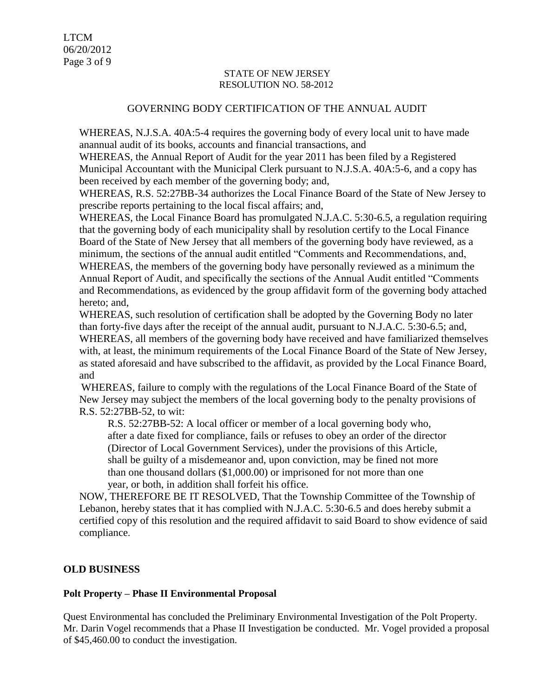#### STATE OF NEW JERSEY RESOLUTION NO. 58-2012

## GOVERNING BODY CERTIFICATION OF THE ANNUAL AUDIT

WHEREAS, N.J.S.A. 40A:5-4 requires the governing body of every local unit to have made anannual audit of its books, accounts and financial transactions, and

WHEREAS, the Annual Report of Audit for the year 2011 has been filed by a Registered Municipal Accountant with the Municipal Clerk pursuant to N.J.S.A. 40A:5-6, and a copy has been received by each member of the governing body; and,

WHEREAS, R.S. 52:27BB-34 authorizes the Local Finance Board of the State of New Jersey to prescribe reports pertaining to the local fiscal affairs; and,

WHEREAS, the Local Finance Board has promulgated N.J.A.C. 5:30-6.5, a regulation requiring that the governing body of each municipality shall by resolution certify to the Local Finance Board of the State of New Jersey that all members of the governing body have reviewed, as a minimum, the sections of the annual audit entitled "Comments and Recommendations, and, WHEREAS, the members of the governing body have personally reviewed as a minimum the Annual Report of Audit, and specifically the sections of the Annual Audit entitled "Comments and Recommendations, as evidenced by the group affidavit form of the governing body attached hereto; and,

WHEREAS, such resolution of certification shall be adopted by the Governing Body no later than forty-five days after the receipt of the annual audit, pursuant to N.J.A.C. 5:30-6.5; and, WHEREAS, all members of the governing body have received and have familiarized themselves with, at least, the minimum requirements of the Local Finance Board of the State of New Jersey, as stated aforesaid and have subscribed to the affidavit, as provided by the Local Finance Board, and

WHEREAS, failure to comply with the regulations of the Local Finance Board of the State of New Jersey may subject the members of the local governing body to the penalty provisions of R.S. 52:27BB-52, to wit:

R.S. 52:27BB-52: A local officer or member of a local governing body who, after a date fixed for compliance, fails or refuses to obey an order of the director (Director of Local Government Services), under the provisions of this Article, shall be guilty of a misdemeanor and, upon conviction, may be fined not more than one thousand dollars (\$1,000.00) or imprisoned for not more than one year, or both, in addition shall forfeit his office.

NOW, THEREFORE BE IT RESOLVED, That the Township Committee of the Township of Lebanon, hereby states that it has complied with N.J.A.C. 5:30-6.5 and does hereby submit a certified copy of this resolution and the required affidavit to said Board to show evidence of said compliance.

### **OLD BUSINESS**

### **Polt Property – Phase II Environmental Proposal**

Quest Environmental has concluded the Preliminary Environmental Investigation of the Polt Property. Mr. Darin Vogel recommends that a Phase II Investigation be conducted. Mr. Vogel provided a proposal of \$45,460.00 to conduct the investigation.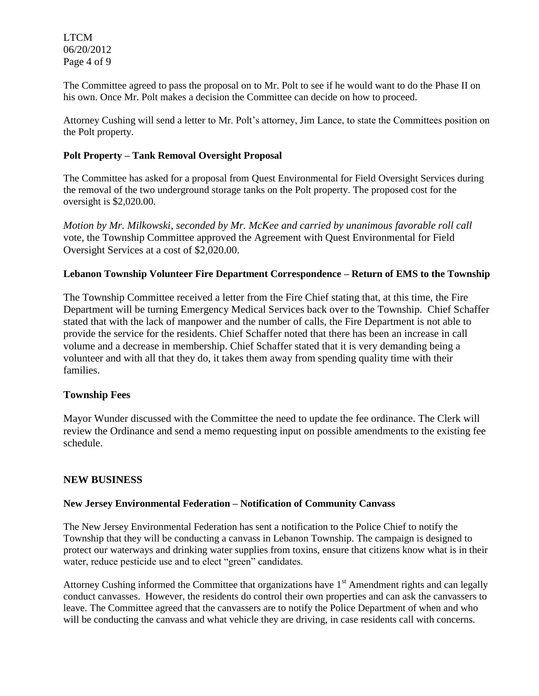LTCM 06/20/2012 Page 4 of 9

The Committee agreed to pass the proposal on to Mr. Polt to see if he would want to do the Phase II on his own. Once Mr. Polt makes a decision the Committee can decide on how to proceed.

Attorney Cushing will send a letter to Mr. Polt's attorney, Jim Lance, to state the Committees position on the Polt property.

### **Polt Property – Tank Removal Oversight Proposal**

The Committee has asked for a proposal from Quest Environmental for Field Oversight Services during the removal of the two underground storage tanks on the Polt property. The proposed cost for the oversight is \$2,020.00.

*Motion by Mr. Milkowski, seconded by Mr. McKee and carried by unanimous favorable roll call*  vote, the Township Committee approved the Agreement with Quest Environmental for Field Oversight Services at a cost of \$2,020.00.

### **Lebanon Township Volunteer Fire Department Correspondence – Return of EMS to the Township**

The Township Committee received a letter from the Fire Chief stating that, at this time, the Fire Department will be turning Emergency Medical Services back over to the Township. Chief Schaffer stated that with the lack of manpower and the number of calls, the Fire Department is not able to provide the service for the residents. Chief Schaffer noted that there has been an increase in call volume and a decrease in membership. Chief Schaffer stated that it is very demanding being a volunteer and with all that they do, it takes them away from spending quality time with their families.

### **Township Fees**

Mayor Wunder discussed with the Committee the need to update the fee ordinance. The Clerk will review the Ordinance and send a memo requesting input on possible amendments to the existing fee schedule.

### **NEW BUSINESS**

### **New Jersey Environmental Federation – Notification of Community Canvass**

The New Jersey Environmental Federation has sent a notification to the Police Chief to notify the Township that they will be conducting a canvass in Lebanon Township. The campaign is designed to protect our waterways and drinking water supplies from toxins, ensure that citizens know what is in their water, reduce pesticide use and to elect "green" candidates.

Attorney Cushing informed the Committee that organizations have  $1<sup>st</sup>$  Amendment rights and can legally conduct canvasses. However, the residents do control their own properties and can ask the canvassers to leave. The Committee agreed that the canvassers are to notify the Police Department of when and who will be conducting the canvass and what vehicle they are driving, in case residents call with concerns.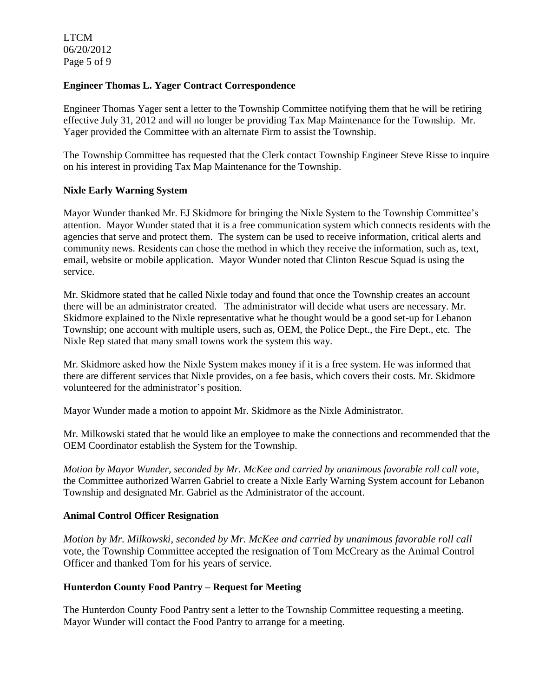LTCM 06/20/2012 Page 5 of 9

### **Engineer Thomas L. Yager Contract Correspondence**

Engineer Thomas Yager sent a letter to the Township Committee notifying them that he will be retiring effective July 31, 2012 and will no longer be providing Tax Map Maintenance for the Township. Mr. Yager provided the Committee with an alternate Firm to assist the Township.

The Township Committee has requested that the Clerk contact Township Engineer Steve Risse to inquire on his interest in providing Tax Map Maintenance for the Township.

#### **Nixle Early Warning System**

Mayor Wunder thanked Mr. EJ Skidmore for bringing the Nixle System to the Township Committee's attention. Mayor Wunder stated that it is a free communication system which connects residents with the agencies that serve and protect them. The system can be used to receive information, critical alerts and community news. Residents can chose the method in which they receive the information, such as, text, email, website or mobile application. Mayor Wunder noted that Clinton Rescue Squad is using the service.

Mr. Skidmore stated that he called Nixle today and found that once the Township creates an account there will be an administrator created. The administrator will decide what users are necessary. Mr. Skidmore explained to the Nixle representative what he thought would be a good set-up for Lebanon Township; one account with multiple users, such as, OEM, the Police Dept., the Fire Dept., etc. The Nixle Rep stated that many small towns work the system this way.

Mr. Skidmore asked how the Nixle System makes money if it is a free system. He was informed that there are different services that Nixle provides, on a fee basis, which covers their costs. Mr. Skidmore volunteered for the administrator's position.

Mayor Wunder made a motion to appoint Mr. Skidmore as the Nixle Administrator.

Mr. Milkowski stated that he would like an employee to make the connections and recommended that the OEM Coordinator establish the System for the Township.

*Motion by Mayor Wunder, seconded by Mr. McKee and carried by unanimous favorable roll call vote,*  the Committee authorized Warren Gabriel to create a Nixle Early Warning System account for Lebanon Township and designated Mr. Gabriel as the Administrator of the account.

#### **Animal Control Officer Resignation**

*Motion by Mr. Milkowski, seconded by Mr. McKee and carried by unanimous favorable roll call*  vote, the Township Committee accepted the resignation of Tom McCreary as the Animal Control Officer and thanked Tom for his years of service.

#### **Hunterdon County Food Pantry – Request for Meeting**

The Hunterdon County Food Pantry sent a letter to the Township Committee requesting a meeting. Mayor Wunder will contact the Food Pantry to arrange for a meeting.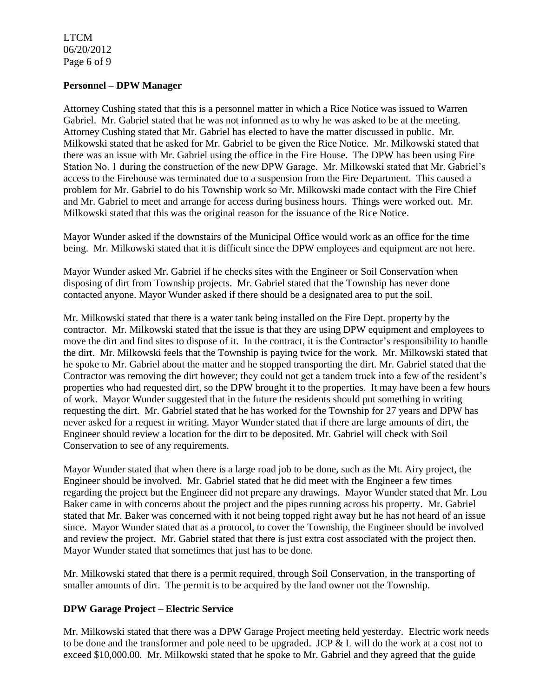LTCM 06/20/2012 Page 6 of 9

#### **Personnel – DPW Manager**

Attorney Cushing stated that this is a personnel matter in which a Rice Notice was issued to Warren Gabriel. Mr. Gabriel stated that he was not informed as to why he was asked to be at the meeting. Attorney Cushing stated that Mr. Gabriel has elected to have the matter discussed in public. Mr. Milkowski stated that he asked for Mr. Gabriel to be given the Rice Notice. Mr. Milkowski stated that there was an issue with Mr. Gabriel using the office in the Fire House. The DPW has been using Fire Station No. 1 during the construction of the new DPW Garage. Mr. Milkowski stated that Mr. Gabriel's access to the Firehouse was terminated due to a suspension from the Fire Department. This caused a problem for Mr. Gabriel to do his Township work so Mr. Milkowski made contact with the Fire Chief and Mr. Gabriel to meet and arrange for access during business hours. Things were worked out. Mr. Milkowski stated that this was the original reason for the issuance of the Rice Notice.

Mayor Wunder asked if the downstairs of the Municipal Office would work as an office for the time being. Mr. Milkowski stated that it is difficult since the DPW employees and equipment are not here.

Mayor Wunder asked Mr. Gabriel if he checks sites with the Engineer or Soil Conservation when disposing of dirt from Township projects. Mr. Gabriel stated that the Township has never done contacted anyone. Mayor Wunder asked if there should be a designated area to put the soil.

Mr. Milkowski stated that there is a water tank being installed on the Fire Dept. property by the contractor. Mr. Milkowski stated that the issue is that they are using DPW equipment and employees to move the dirt and find sites to dispose of it. In the contract, it is the Contractor's responsibility to handle the dirt. Mr. Milkowski feels that the Township is paying twice for the work. Mr. Milkowski stated that he spoke to Mr. Gabriel about the matter and he stopped transporting the dirt. Mr. Gabriel stated that the Contractor was removing the dirt however; they could not get a tandem truck into a few of the resident's properties who had requested dirt, so the DPW brought it to the properties. It may have been a few hours of work. Mayor Wunder suggested that in the future the residents should put something in writing requesting the dirt. Mr. Gabriel stated that he has worked for the Township for 27 years and DPW has never asked for a request in writing. Mayor Wunder stated that if there are large amounts of dirt, the Engineer should review a location for the dirt to be deposited. Mr. Gabriel will check with Soil Conservation to see of any requirements.

Mayor Wunder stated that when there is a large road job to be done, such as the Mt. Airy project, the Engineer should be involved. Mr. Gabriel stated that he did meet with the Engineer a few times regarding the project but the Engineer did not prepare any drawings. Mayor Wunder stated that Mr. Lou Baker came in with concerns about the project and the pipes running across his property. Mr. Gabriel stated that Mr. Baker was concerned with it not being topped right away but he has not heard of an issue since. Mayor Wunder stated that as a protocol, to cover the Township, the Engineer should be involved and review the project. Mr. Gabriel stated that there is just extra cost associated with the project then. Mayor Wunder stated that sometimes that just has to be done.

Mr. Milkowski stated that there is a permit required, through Soil Conservation, in the transporting of smaller amounts of dirt. The permit is to be acquired by the land owner not the Township.

### **DPW Garage Project – Electric Service**

Mr. Milkowski stated that there was a DPW Garage Project meeting held yesterday. Electric work needs to be done and the transformer and pole need to be upgraded. JCP  $&$  L will do the work at a cost not to exceed \$10,000.00. Mr. Milkowski stated that he spoke to Mr. Gabriel and they agreed that the guide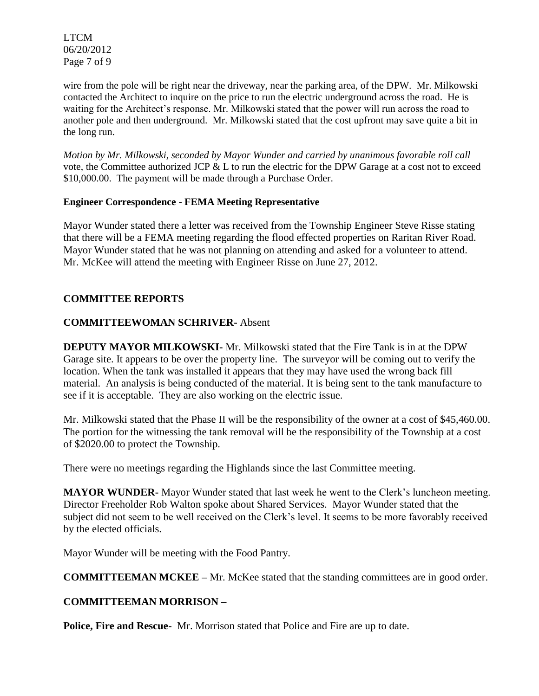LTCM 06/20/2012 Page 7 of 9

wire from the pole will be right near the driveway, near the parking area, of the DPW. Mr. Milkowski contacted the Architect to inquire on the price to run the electric underground across the road. He is waiting for the Architect's response. Mr. Milkowski stated that the power will run across the road to another pole and then underground. Mr. Milkowski stated that the cost upfront may save quite a bit in the long run.

*Motion by Mr. Milkowski, seconded by Mayor Wunder and carried by unanimous favorable roll call*  vote, the Committee authorized JCP  $&L$  to run the electric for the DPW Garage at a cost not to exceed \$10,000.00. The payment will be made through a Purchase Order.

### **Engineer Correspondence - FEMA Meeting Representative**

Mayor Wunder stated there a letter was received from the Township Engineer Steve Risse stating that there will be a FEMA meeting regarding the flood effected properties on Raritan River Road. Mayor Wunder stated that he was not planning on attending and asked for a volunteer to attend. Mr. McKee will attend the meeting with Engineer Risse on June 27, 2012.

# **COMMITTEE REPORTS**

# **COMMITTEEWOMAN SCHRIVER-** Absent

**DEPUTY MAYOR MILKOWSKI-** Mr. Milkowski stated that the Fire Tank is in at the DPW Garage site. It appears to be over the property line. The surveyor will be coming out to verify the location. When the tank was installed it appears that they may have used the wrong back fill material. An analysis is being conducted of the material. It is being sent to the tank manufacture to see if it is acceptable. They are also working on the electric issue.

Mr. Milkowski stated that the Phase II will be the responsibility of the owner at a cost of \$45,460.00. The portion for the witnessing the tank removal will be the responsibility of the Township at a cost of \$2020.00 to protect the Township.

There were no meetings regarding the Highlands since the last Committee meeting.

**MAYOR WUNDER-** Mayor Wunder stated that last week he went to the Clerk's luncheon meeting. Director Freeholder Rob Walton spoke about Shared Services. Mayor Wunder stated that the subject did not seem to be well received on the Clerk's level. It seems to be more favorably received by the elected officials.

Mayor Wunder will be meeting with the Food Pantry.

**COMMITTEEMAN MCKEE –** Mr. McKee stated that the standing committees are in good order.

# **COMMITTEEMAN MORRISON –**

**Police, Fire and Rescue-** Mr. Morrison stated that Police and Fire are up to date.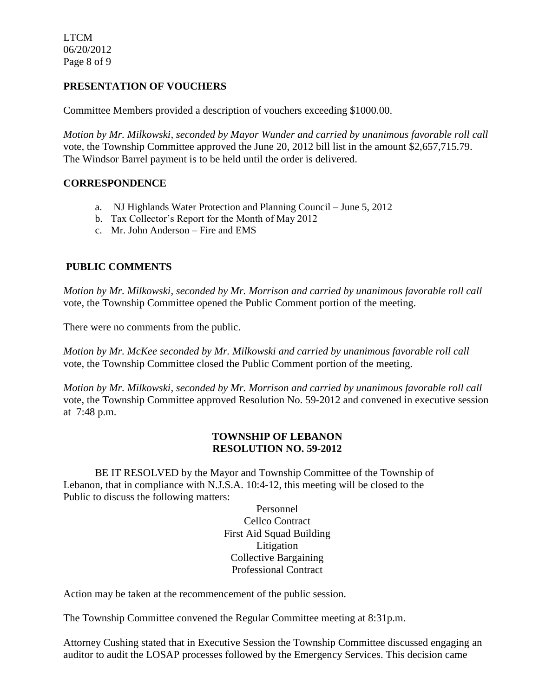LTCM 06/20/2012 Page 8 of 9

# **PRESENTATION OF VOUCHERS**

Committee Members provided a description of vouchers exceeding \$1000.00.

*Motion by Mr. Milkowski, seconded by Mayor Wunder and carried by unanimous favorable roll call*  vote*,* the Township Committee approved the June 20, 2012 bill list in the amount \$2,657,715.79. The Windsor Barrel payment is to be held until the order is delivered.

## **CORRESPONDENCE**

- a. NJ Highlands Water Protection and Planning Council June 5, 2012
- b. Tax Collector's Report for the Month of May 2012
- c. Mr. John Anderson Fire and EMS

# **PUBLIC COMMENTS**

*Motion by Mr. Milkowski, seconded by Mr. Morrison and carried by unanimous favorable roll call*  vote, the Township Committee opened the Public Comment portion of the meeting.

There were no comments from the public.

*Motion by Mr. McKee seconded by Mr. Milkowski and carried by unanimous favorable roll call*  vote*,* the Township Committee closed the Public Comment portion of the meeting.

*Motion by Mr. Milkowski, seconded by Mr. Morrison and carried by unanimous favorable roll call*  vote, the Township Committee approved Resolution No. 59-2012 and convened in executive session at 7:48 p.m.

### **TOWNSHIP OF LEBANON RESOLUTION NO. 59-2012**

BE IT RESOLVED by the Mayor and Township Committee of the Township of Lebanon, that in compliance with N.J.S.A. 10:4-12, this meeting will be closed to the Public to discuss the following matters:

> Personnel Cellco Contract First Aid Squad Building Litigation Collective Bargaining Professional Contract

Action may be taken at the recommencement of the public session.

The Township Committee convened the Regular Committee meeting at 8:31p.m.

Attorney Cushing stated that in Executive Session the Township Committee discussed engaging an auditor to audit the LOSAP processes followed by the Emergency Services. This decision came